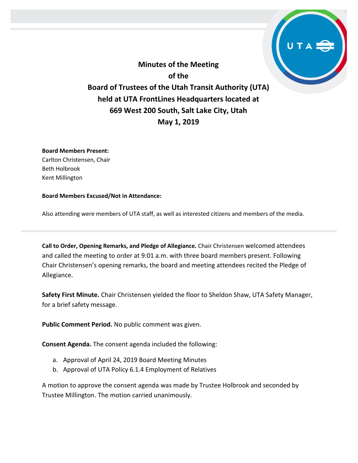**Minutes of the Meeting of the Board of Trustees of the Utah Transit Authority (UTA) held at UTA FrontLines Headquarters located at 669 West 200 South, Salt Lake City, Utah May 1, 2019**

# **Board Members Present:**

Carlton Christensen, Chair Beth Holbrook Kent Millington

### **Board Members Excused/Not in Attendance:**

Also attending were members of UTA staff, as well as interested citizens and members of the media.

**Call to Order, Opening Remarks, and Pledge of Allegiance.** Chair Christensen welcomed attendees and called the meeting to order at 9:01 a.m. with three board members present. Following Chair Christensen's opening remarks, the board and meeting attendees recited the Pledge of Allegiance.

**Safety First Minute.** Chair Christensen yielded the floor to Sheldon Shaw, UTA Safety Manager, for a brief safety message.

**Public Comment Period.** No public comment was given.

**Consent Agenda.** The consent agenda included the following:

- a. Approval of April 24, 2019 Board Meeting Minutes
- b. Approval of UTA Policy 6.1.4 Employment of Relatives

A motion to approve the consent agenda was made by Trustee Holbrook and seconded by Trustee Millington. The motion carried unanimously.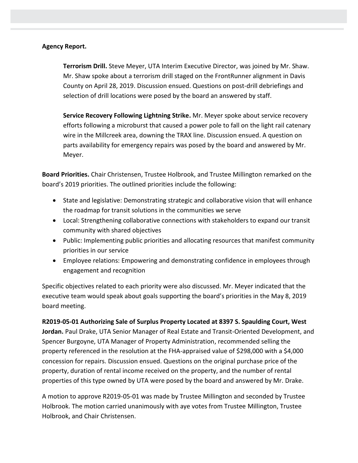# **Agency Report.**

**Terrorism Drill.** Steve Meyer, UTA Interim Executive Director, was joined by Mr. Shaw. Mr. Shaw spoke about a terrorism drill staged on the FrontRunner alignment in Davis County on April 28, 2019. Discussion ensued. Questions on post-drill debriefings and selection of drill locations were posed by the board an answered by staff.

**Service Recovery Following Lightning Strike.** Mr. Meyer spoke about service recovery efforts following a microburst that caused a power pole to fall on the light rail catenary wire in the Millcreek area, downing the TRAX line. Discussion ensued. A question on parts availability for emergency repairs was posed by the board and answered by Mr. Meyer.

**Board Priorities.** Chair Christensen, Trustee Holbrook, and Trustee Millington remarked on the board's 2019 priorities. The outlined priorities include the following:

- State and legislative: Demonstrating strategic and collaborative vision that will enhance the roadmap for transit solutions in the communities we serve
- Local: Strengthening collaborative connections with stakeholders to expand our transit community with shared objectives
- Public: Implementing public priorities and allocating resources that manifest community priorities in our service
- Employee relations: Empowering and demonstrating confidence in employees through engagement and recognition

Specific objectives related to each priority were also discussed. Mr. Meyer indicated that the executive team would speak about goals supporting the board's priorities in the May 8, 2019 board meeting.

**R2019-05-01 Authorizing Sale of Surplus Property Located at 8397 S. Spaulding Court, West Jordan.** Paul Drake, UTA Senior Manager of Real Estate and Transit-Oriented Development, and Spencer Burgoyne, UTA Manager of Property Administration, recommended selling the property referenced in the resolution at the FHA-appraised value of \$298,000 with a \$4,000 concession for repairs. Discussion ensued. Questions on the original purchase price of the property, duration of rental income received on the property, and the number of rental properties of this type owned by UTA were posed by the board and answered by Mr. Drake.

A motion to approve R2019-05-01 was made by Trustee Millington and seconded by Trustee Holbrook. The motion carried unanimously with aye votes from Trustee Millington, Trustee Holbrook, and Chair Christensen.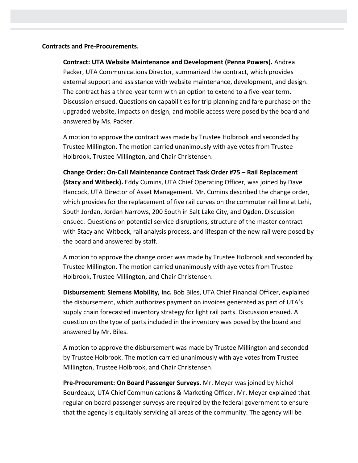#### **Contracts and Pre-Procurements.**

**Contract: UTA Website Maintenance and Development (Penna Powers).** Andrea Packer, UTA Communications Director, summarized the contract, which provides external support and assistance with website maintenance, development, and design. The contract has a three-year term with an option to extend to a five-year term. Discussion ensued. Questions on capabilities for trip planning and fare purchase on the upgraded website, impacts on design, and mobile access were posed by the board and answered by Ms. Packer.

A motion to approve the contract was made by Trustee Holbrook and seconded by Trustee Millington. The motion carried unanimously with aye votes from Trustee Holbrook, Trustee Millington, and Chair Christensen.

**Change Order: On-Call Maintenance Contract Task Order #75 – Rail Replacement (Stacy and Witbeck).** Eddy Cumins, UTA Chief Operating Officer, was joined by Dave Hancock, UTA Director of Asset Management. Mr. Cumins described the change order, which provides for the replacement of five rail curves on the commuter rail line at Lehi, South Jordan, Jordan Narrows, 200 South in Salt Lake City, and Ogden. Discussion ensued. Questions on potential service disruptions, structure of the master contract with Stacy and Witbeck, rail analysis process, and lifespan of the new rail were posed by the board and answered by staff.

A motion to approve the change order was made by Trustee Holbrook and seconded by Trustee Millington. The motion carried unanimously with aye votes from Trustee Holbrook, Trustee Millington, and Chair Christensen.

**Disbursement: Siemens Mobility, Inc.** Bob Biles, UTA Chief Financial Officer, explained the disbursement, which authorizes payment on invoices generated as part of UTA's supply chain forecasted inventory strategy for light rail parts. Discussion ensued. A question on the type of parts included in the inventory was posed by the board and answered by Mr. Biles.

A motion to approve the disbursement was made by Trustee Millington and seconded by Trustee Holbrook. The motion carried unanimously with aye votes from Trustee Millington, Trustee Holbrook, and Chair Christensen.

**Pre-Procurement: On Board Passenger Surveys.** Mr. Meyer was joined by Nichol Bourdeaux, UTA Chief Communications & Marketing Officer. Mr. Meyer explained that regular on board passenger surveys are required by the federal government to ensure that the agency is equitably servicing all areas of the community. The agency will be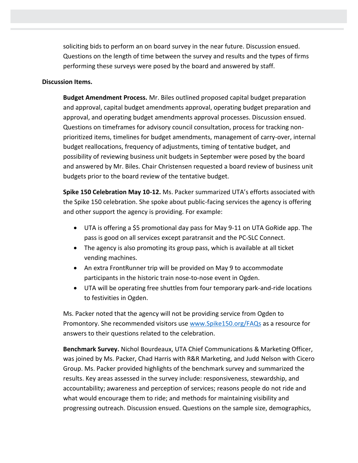soliciting bids to perform an on board survey in the near future. Discussion ensued. Questions on the length of time between the survey and results and the types of firms performing these surveys were posed by the board and answered by staff.

# **Discussion Items.**

**Budget Amendment Process.** Mr. Biles outlined proposed capital budget preparation and approval, capital budget amendments approval, operating budget preparation and approval, and operating budget amendments approval processes. Discussion ensued. Questions on timeframes for advisory council consultation, process for tracking nonprioritized items, timelines for budget amendments, management of carry-over, internal budget reallocations, frequency of adjustments, timing of tentative budget, and possibility of reviewing business unit budgets in September were posed by the board and answered by Mr. Biles. Chair Christensen requested a board review of business unit budgets prior to the board review of the tentative budget.

**Spike 150 Celebration May 10-12.** Ms. Packer summarized UTA's efforts associated with the Spike 150 celebration. She spoke about public-facing services the agency is offering and other support the agency is providing. For example:

- UTA is offering a \$5 promotional day pass for May 9-11 on UTA GoRide app. The pass is good on all services except paratransit and the PC-SLC Connect.
- The agency is also promoting its group pass, which is available at all ticket vending machines.
- An extra FrontRunner trip will be provided on May 9 to accommodate participants in the historic train nose-to-nose event in Ogden.
- UTA will be operating free shuttles from four temporary park-and-ride locations to festivities in Ogden.

Ms. Packer noted that the agency will not be providing service from Ogden to Promontory. She recommended visitors use [www.Spike150.org/FAQs](http://www.spike150.org/FAQs) as a resource for answers to their questions related to the celebration.

**Benchmark Survey.** Nichol Bourdeaux, UTA Chief Communications & Marketing Officer, was joined by Ms. Packer, Chad Harris with R&R Marketing, and Judd Nelson with Cicero Group. Ms. Packer provided highlights of the benchmark survey and summarized the results. Key areas assessed in the survey include: responsiveness, stewardship, and accountability; awareness and perception of services; reasons people do not ride and what would encourage them to ride; and methods for maintaining visibility and progressing outreach. Discussion ensued. Questions on the sample size, demographics,